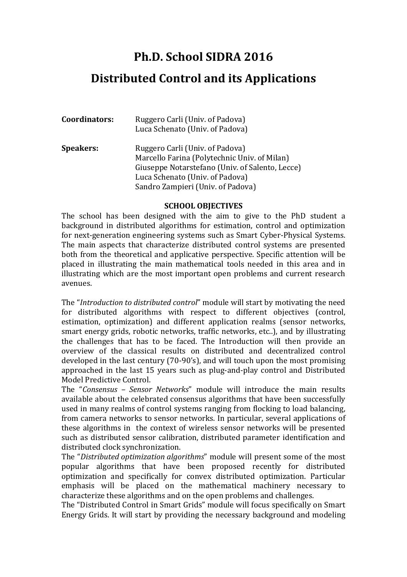## **Ph.D. School SIDRA 2016**

## **Distributed Control and its Applications**

| Coordinators:    | Ruggero Carli (Univ. of Padova)<br>Luca Schenato (Univ. of Padova)                                                                                                    |
|------------------|-----------------------------------------------------------------------------------------------------------------------------------------------------------------------|
| <b>Speakers:</b> | Ruggero Carli (Univ. of Padova)<br>Marcello Farina (Polytechnic Univ. of Milan)<br>Giuseppe Notarstefano (Univ. of Salento, Lecce)<br>Luca Schenato (Univ. of Padova) |
|                  | Sandro Zampieri (Univ. of Padova)                                                                                                                                     |

## **SCHOOL OBJECTIVES**

The school has been designed with the aim to give to the PhD student a background in distributed algorithms for estimation, control and optimization for next-generation engineering systems such as Smart Cyber-Physical Systems. The main aspects that characterize distributed control systems are presented both from the theoretical and applicative perspective. Specific attention will be placed in illustrating the main mathematical tools needed in this area and in illustrating which are the most important open problems and current research avenues.

The "*Introduction to distributed control*" module will start by motivating the need for distributed algorithms with respect to different objectives (control, estimation, optimization) and different application realms (sensor networks, smart energy grids, robotic networks, traffic networks, etc..), and by illustrating the challenges that has to be faced. The Introduction will then provide an overview of the classical results on distributed and decentralized control developed in the last century (70-90's), and will touch upon the most promising approached in the last 15 years such as plug-and-play control and Distributed Model Predictive Control.

The "Consensus - Sensor Networks" module will introduce the main results available about the celebrated consensus algorithms that have been successfully used in many realms of control systems ranging from flocking to load balancing, from camera networks to sensor networks. In particular, several applications of these algorithms in the context of wireless sensor networks will be presented such as distributed sensor calibration, distributed parameter identification and distributed clock synchronization.

The "Distributed optimization algorithms" module will present some of the most popular algorithms that have been proposed recently for distributed optimization and specifically for convex distributed optimization. Particular emphasis will be placed on the mathematical machinery necessary to characterize these algorithms and on the open problems and challenges.

The "Distributed Control in Smart Grids" module will focus specifically on Smart Energy Grids. It will start by providing the necessary background and modeling